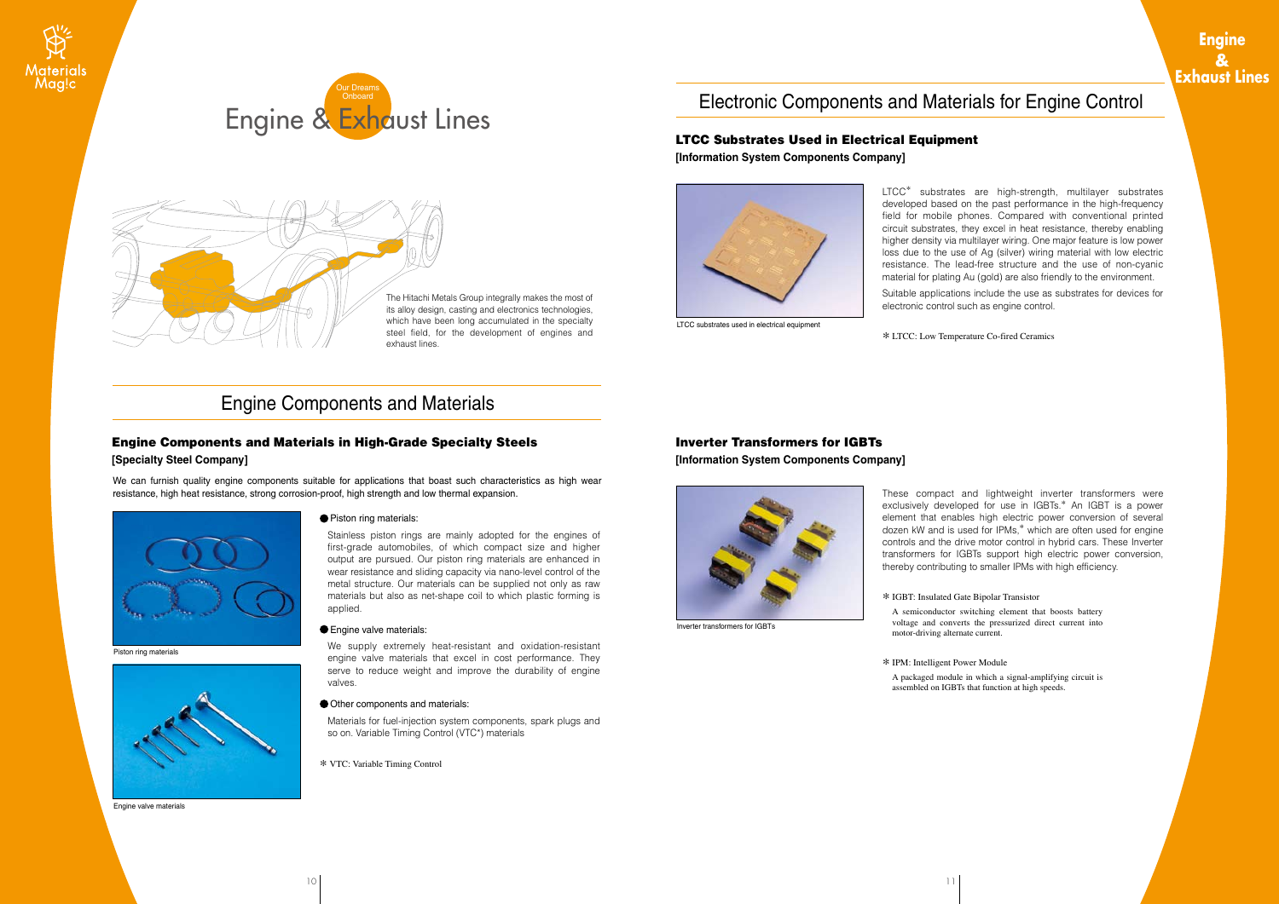The Hitachi Metals Group integrally makes the most of its alloy design, casting and electronics technologies, which have been long accumulated in the specialty steel field, for the development of engines and exhaust lines.

Stainless piston rings are mainly adopted for the engines of first-grade automobiles, of which compact size and higher output are pursued. Our piston ring materials are enhanced in wear resistance and sliding capacity via nano-level control of the metal structure. Our materials can be supplied not only as raw materials but also as net-shape coil to which plastic forming is applied.

### **Engine valve materials:**

We supply extremely heat-resistant and oxidation-resistant engine valve materials that excel in cost performance. They serve to reduce weight and improve the durability of engine valves.

### Other components and materials:

Materials for fuel-injection system components, spark plugs and so on. Variable Timing Control (VTC\*) materials

We can furnish quality engine components suitable for applications that boast such characteristics as high wear resistance, high heat resistance, strong corrosion-proof, high strength and low thermal expansion.



## Engine Components and Materials in High-Grade Specialty Steels

### **[Specialty Steel Company]**

Piston ring materials



Engine valve materials

### ● Piston ring materials:

LTCC\* substrates are high-strength, multilayer substrates developed based on the past performance in the high-frequency field for mobile phones. Compared with conventional printed circuit substrates, they excel in heat resistance, thereby enabling higher density via multilayer wiring. One major feature is low power loss due to the use of Ag (silver) wiring material with low electric resistance. The lead-free structure and the use of non-cyanic material for plating Au (gold) are also friendly to the environment. Suitable applications include the use as substrates for devices for electronic control such as engine control.

### LTCC Substrates Used in Electrical Equipment **[Information System Components Company]**



LTCC substrates used in electrical equipment

These compact and lightweight inverter transformers were exclusively developed for use in IGBTs.\* An IGBT is a power element that enables high electric power conversion of several dozen kW and is used for IPMs,\* which are often used for engine controls and the drive motor control in hybrid cars. These Inverter transformers for IGBTs support high electric power conversion, thereby contributing to smaller IPMs with high efficiency.

### Inverter Transformers for IGBTs **[Information System Components Company]**



Inverter transformers for IGBTs

\* LTCC: Low Temperature Co-fired Ceramics

\* VTC: Variable Timing Control

\* IPM: Intelligent Power Module A packaged module in which a signal-amplifying circuit is assembled on IGBTs that function at high speeds.

 $10$  |  $11$ 

\* IGBT: Insulated Gate Bipolar Transistor

A semiconductor switching element that boosts battery voltage and converts the pressurized direct current into motor-driving alternate current.

## Engine Components and Materials

# Electronic Components and Materials for Engine Control





## **Engine & Exhaust Lines**